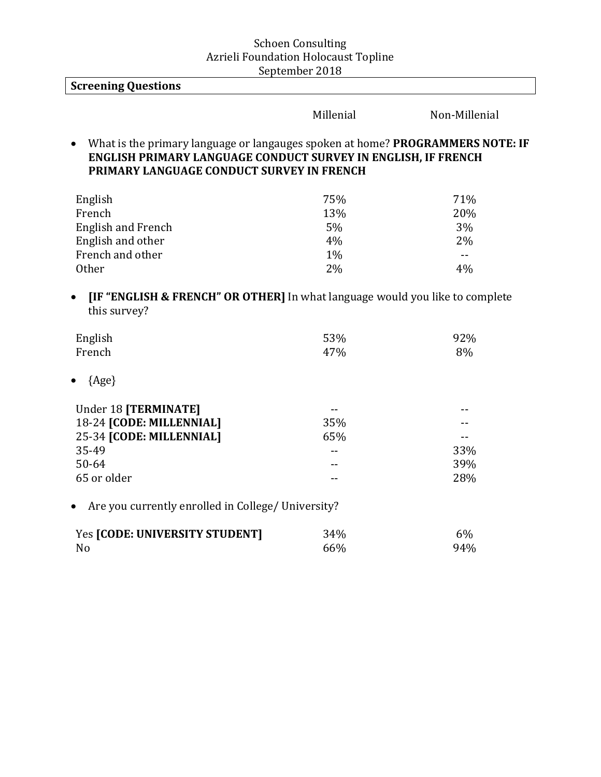| <b>Screening Questions</b>                                                                                                                                                                   |            |                                               |
|----------------------------------------------------------------------------------------------------------------------------------------------------------------------------------------------|------------|-----------------------------------------------|
|                                                                                                                                                                                              | Millenial  | Non-Millenial                                 |
| What is the primary language or langauges spoken at home? PROGRAMMERS NOTE: IF<br>ENGLISH PRIMARY LANGUAGE CONDUCT SURVEY IN ENGLISH, IF FRENCH<br>PRIMARY LANGUAGE CONDUCT SURVEY IN FRENCH |            |                                               |
| English                                                                                                                                                                                      | 75%        | 71%                                           |
| French                                                                                                                                                                                       | 13%        | 20%                                           |
| <b>English and French</b>                                                                                                                                                                    | 5%         | 3%                                            |
| English and other                                                                                                                                                                            | 4%         | 2%                                            |
| French and other                                                                                                                                                                             | 1%         | $\mathord{\hspace{1pt}\text{--}\hspace{1pt}}$ |
| Other                                                                                                                                                                                        | 2%         | 4%                                            |
| this survey?<br>English<br>French                                                                                                                                                            | 53%<br>47% | 92%<br>8%                                     |
| $\{Age\}$                                                                                                                                                                                    |            |                                               |
| Under 18 [TERMINATE]                                                                                                                                                                         | $-$        |                                               |
| 18-24 [CODE: MILLENNIAL]                                                                                                                                                                     | 35%        |                                               |
| 25-34 [CODE: MILLENNIAL]                                                                                                                                                                     | 65%        | $-$                                           |
| 35-49                                                                                                                                                                                        |            | 33%                                           |
| 50-64                                                                                                                                                                                        |            | 39%                                           |
| 65 or older                                                                                                                                                                                  |            | 28%                                           |
| Are you currently enrolled in College/ University?                                                                                                                                           |            |                                               |
| Yes [CODE: UNIVERSITY STUDENT]                                                                                                                                                               | 34%        | 6%                                            |
| N <sub>o</sub>                                                                                                                                                                               | 66%        | 94%                                           |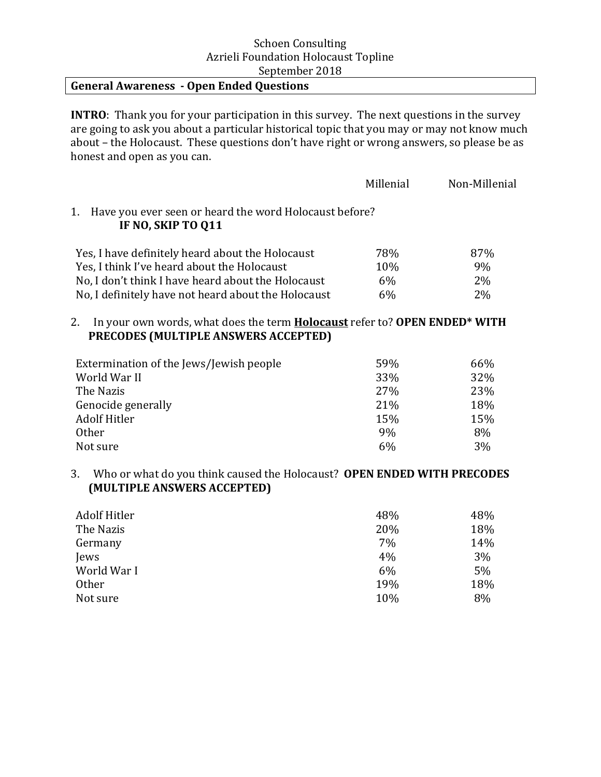### **General Awareness - Open Ended Questions**

**INTRO**: Thank you for your participation in this survey. The next questions in the survey are going to ask you about a particular historical topic that you may or may not know much about – the Holocaust. These questions don't have right or wrong answers, so please be as honest and open as you can.

|                                                                                                                                                                            | Millenial | Non-Millenial |
|----------------------------------------------------------------------------------------------------------------------------------------------------------------------------|-----------|---------------|
| Have you ever seen or heard the word Holocaust before?<br>1.<br>IF NO, SKIP TO Q11                                                                                         |           |               |
| Yes, I have definitely heard about the Holocaust                                                                                                                           | 78%       | 87%           |
| Yes, I think I've heard about the Holocaust                                                                                                                                | 10%       | 9%            |
| No, I don't think I have heard about the Holocaust                                                                                                                         | 6%        | 2%            |
| No, I definitely have not heard about the Holocaust                                                                                                                        | 6%        | 2%            |
| In your own words, what does the term <b>Holocaust</b> refer to? OPEN ENDED* WITH<br>2.<br>PRECODES (MULTIPLE ANSWERS ACCEPTED)<br>Extermination of the Jews/Jewish people | 59%       | 66%           |
| World War II                                                                                                                                                               | 33%       | 32%           |
| The Nazis                                                                                                                                                                  | 27%       | 23%           |
| Genocide generally                                                                                                                                                         | 21%       | 18%           |
| <b>Adolf Hitler</b>                                                                                                                                                        | 15%       | 15%           |
| <b>Other</b>                                                                                                                                                               | 9%        | 8%            |
| Not sure                                                                                                                                                                   | 6%        | 3%            |
| Who or what do you think caused the Holocaust? OPEN ENDED WITH PRECODES<br>3.<br>(MULTIPLE ANSWERS ACCEPTED)                                                               |           |               |

| Adolf Hitler | 48% | 48% |
|--------------|-----|-----|
| The Nazis    | 20% | 18% |
| Germany      | 7%  | 14% |
| Jews         | 4%  | 3%  |
| World War I  | 6%  | 5%  |
| Other        | 19% | 18% |
| Not sure     | 10% | 8%  |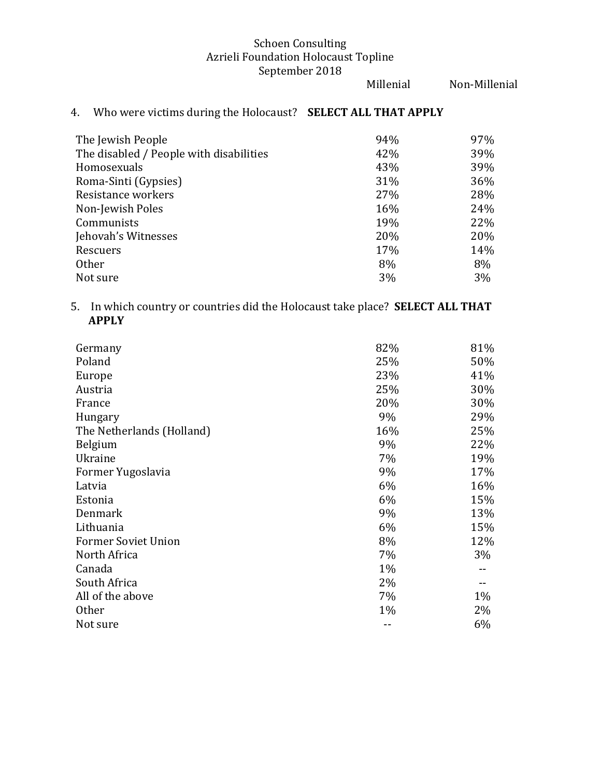Millenial Non-Millenial

## 4. Who were victims during the Holocaust? **SELECT ALL THAT APPLY**

| The Jewish People                       | 94% | 97% |
|-----------------------------------------|-----|-----|
| The disabled / People with disabilities | 42% | 39% |
| Homosexuals                             | 43% | 39% |
| Roma-Sinti (Gypsies)                    | 31% | 36% |
| Resistance workers                      | 27% | 28% |
| Non-Jewish Poles                        | 16% | 24% |
| Communists                              | 19% | 22% |
| Jehovah's Witnesses                     | 20% | 20% |
| Rescuers                                | 17% | 14% |
| Other                                   | 8%  | 8%  |
| Not sure                                | 3%  | 3%  |

## 5. In which country or countries did the Holocaust take place? **SELECT ALL THAT APPLY**

| Germany                    | 82% | 81% |
|----------------------------|-----|-----|
| Poland                     | 25% | 50% |
| Europe                     | 23% | 41% |
| Austria                    | 25% | 30% |
| France                     | 20% | 30% |
| Hungary                    | 9%  | 29% |
| The Netherlands (Holland)  | 16% | 25% |
| Belgium                    | 9%  | 22% |
| Ukraine                    | 7%  | 19% |
| Former Yugoslavia          | 9%  | 17% |
| Latvia                     | 6%  | 16% |
| Estonia                    | 6%  | 15% |
| Denmark                    | 9%  | 13% |
| Lithuania                  | 6%  | 15% |
| <b>Former Soviet Union</b> | 8%  | 12% |
| North Africa               | 7%  | 3%  |
| Canada                     | 1%  |     |
| South Africa               | 2%  |     |
| All of the above           | 7%  | 1%  |
| <b>Other</b>               | 1%  | 2%  |
| Not sure                   |     | 6%  |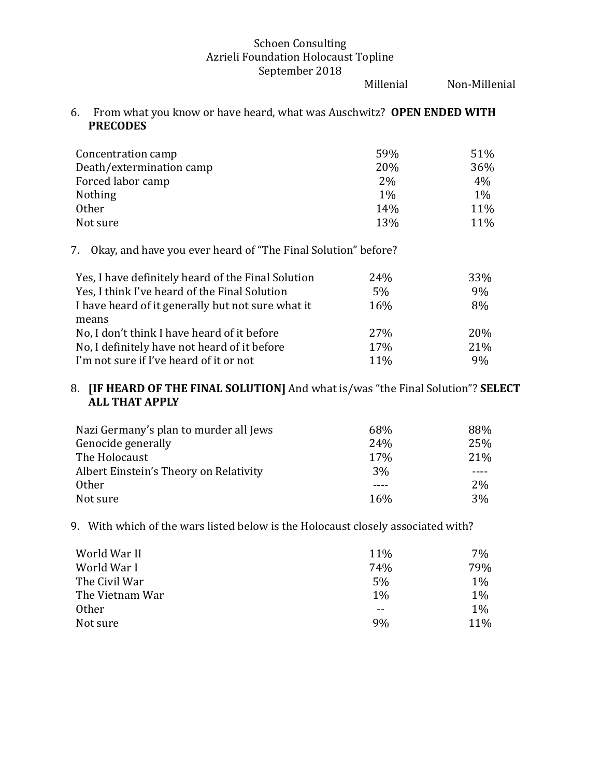Millenial Non-Millenial

6. From what you know or have heard, what was Auschwitz? OPEN ENDED WITH **PRECODES** 

| Concentration camp       | 59% | 51% |
|--------------------------|-----|-----|
| Death/extermination camp | 20% | 36% |
| Forced labor camp        | 2%  | 4%  |
| <b>Nothing</b>           | 1%  | 1%  |
| Other                    | 14% | 11% |
| Not sure                 | 13% | 11% |

7. Okay, and have you ever heard of "The Final Solution" before?

| Yes, I have definitely heard of the Final Solution | 24% | 33%        |
|----------------------------------------------------|-----|------------|
| Yes, I think I've heard of the Final Solution      | 5%  | 9%         |
| I have heard of it generally but not sure what it  | 16% | 8%         |
| means                                              |     |            |
| No, I don't think I have heard of it before        | 27% | <b>20%</b> |
| No, I definitely have not heard of it before       | 17% | 21%        |
| I'm not sure if I've heard of it or not            | 11% | 9%         |

### 8. **[IF HEARD OF THE FINAL SOLUTION]** And what is/was "the Final Solution"? **SELECT ALL THAT APPLY**

| Nazi Germany's plan to murder all Jews | 68% | 88% |
|----------------------------------------|-----|-----|
| Genocide generally                     | 24% | 25% |
| The Holocaust                          | 17% | 21% |
| Albert Einstein's Theory on Relativity | 3%  |     |
| Other                                  |     | 2%  |
| Not sure                               | 16% | 3%  |

9. With which of the wars listed below is the Holocaust closely associated with?

| World War II    | 11%   | 7%    |
|-----------------|-------|-------|
| World War I     | 74%   | 79%   |
| The Civil War   | 5%    | $1\%$ |
| The Vietnam War | $1\%$ | $1\%$ |
| Other           | --    | $1\%$ |
| Not sure        | 9%    | 11%   |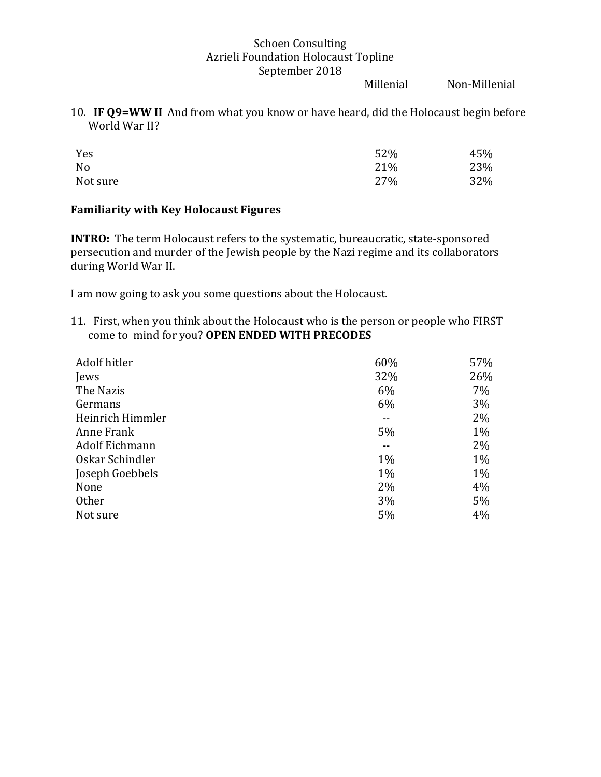Millenial Non-Millenial

10. **IF Q9=WW II** And from what you know or have heard, did the Holocaust begin before World War II?

| Yes      | 52% | 45% |
|----------|-----|-----|
| No       | 21% | 23% |
| Not sure | 27% | 32% |

#### **Familiarity with Key Holocaust Figures**

**INTRO:** The term Holocaust refers to the systematic, bureaucratic, state-sponsored persecution and murder of the Jewish people by the Nazi regime and its collaborators during World War II.

I am now going to ask you some questions about the Holocaust.

11. First, when you think about the Holocaust who is the person or people who FIRST come to mind for you? OPEN ENDED WITH PRECODES

| Adolf hitler     | 60%   | 57% |
|------------------|-------|-----|
| Jews             | 32%   | 26% |
| The Nazis        | 6%    | 7%  |
| Germans          | 6%    | 3%  |
| Heinrich Himmler | --    | 2%  |
| Anne Frank       | 5%    | 1%  |
| Adolf Eichmann   |       | 2%  |
| Oskar Schindler  | $1\%$ | 1%  |
| Joseph Goebbels  | $1\%$ | 1%  |
| None             | 2%    | 4%  |
| <b>Other</b>     | 3%    | 5%  |
| Not sure         | 5%    | 4%  |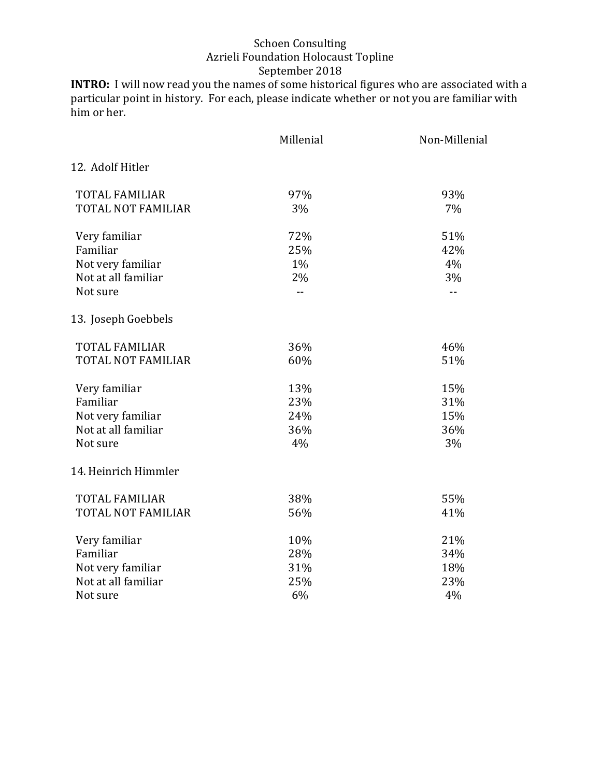September 2018

**INTRO:** I will now read you the names of some historical figures who are associated with a particular point in history. For each, please indicate whether or not you are familiar with him or her.

|                           | Millenial | Non-Millenial |
|---------------------------|-----------|---------------|
| 12. Adolf Hitler          |           |               |
| <b>TOTAL FAMILIAR</b>     | 97%       | 93%           |
| <b>TOTAL NOT FAMILIAR</b> | 3%        | 7%            |
| Very familiar             | 72%       | 51%           |
| Familiar                  | 25%       | 42%           |
| Not very familiar         | 1%        | 4%            |
| Not at all familiar       | 2%        | 3%            |
| Not sure                  | $-$       | $-$           |
| 13. Joseph Goebbels       |           |               |
| <b>TOTAL FAMILIAR</b>     | 36%       | 46%           |
| <b>TOTAL NOT FAMILIAR</b> | 60%       | 51%           |
| Very familiar             | 13%       | 15%           |
| Familiar                  | 23%       | 31%           |
| Not very familiar         | 24%       | 15%           |
| Not at all familiar       | 36%       | 36%           |
| Not sure                  | 4%        | 3%            |
| 14. Heinrich Himmler      |           |               |
| <b>TOTAL FAMILIAR</b>     | 38%       | 55%           |
| <b>TOTAL NOT FAMILIAR</b> | 56%       | 41%           |
| Very familiar             | 10%       | 21%           |
| Familiar                  | 28%       | 34%           |
| Not very familiar         | 31%       | 18%           |
| Not at all familiar       | 25%       | 23%           |
| Not sure                  | 6%        | 4%            |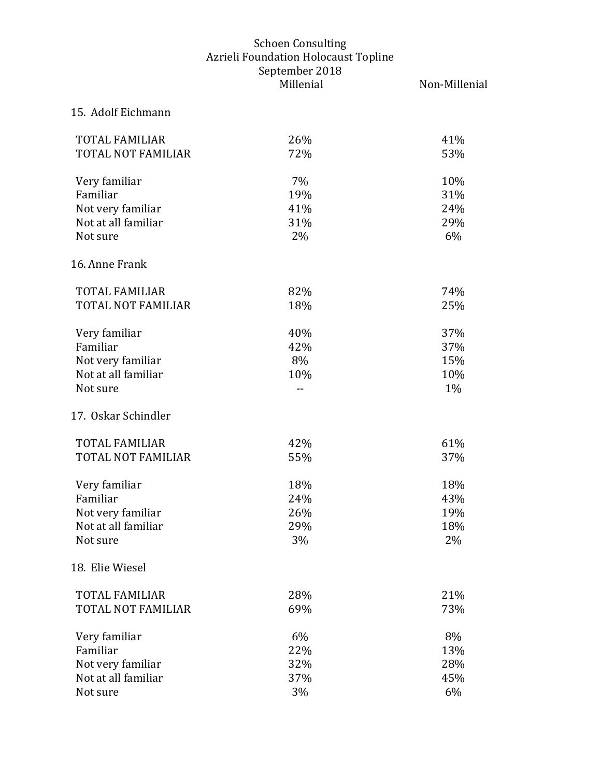#### **Schoen Consulting** Azrieli Foundation Holocaust Topline September 2018 Millenial **Non-Millenial**

| 15. Adolf Eichmann        |     |     |
|---------------------------|-----|-----|
| <b>TOTAL FAMILIAR</b>     | 26% | 41% |
| <b>TOTAL NOT FAMILIAR</b> | 72% | 53% |
| Very familiar             | 7%  | 10% |
| Familiar                  | 19% | 31% |
| Not very familiar         | 41% | 24% |
| Not at all familiar       | 31% | 29% |
| Not sure                  | 2%  | 6%  |
| 16. Anne Frank            |     |     |
| <b>TOTAL FAMILIAR</b>     | 82% | 74% |
| <b>TOTAL NOT FAMILIAR</b> | 18% | 25% |
| Very familiar             | 40% | 37% |
| Familiar                  | 42% | 37% |
| Not very familiar         | 8%  | 15% |
| Not at all familiar       | 10% | 10% |
| Not sure                  | $-$ | 1%  |
| 17. Oskar Schindler       |     |     |
| <b>TOTAL FAMILIAR</b>     | 42% | 61% |
| <b>TOTAL NOT FAMILIAR</b> | 55% | 37% |
| Very familiar             | 18% | 18% |
| Familiar                  | 24% | 43% |
| Not very familiar         | 26% | 19% |
| Not at all familiar       | 29% | 18% |
| Not sure                  | 3%  | 2%  |
| 18. Elie Wiesel           |     |     |
| <b>TOTAL FAMILIAR</b>     | 28% | 21% |
| TOTAL NOT FAMILIAR        | 69% | 73% |
| Very familiar             | 6%  | 8%  |
| Familiar                  | 22% | 13% |
| Not very familiar         | 32% | 28% |
| Not at all familiar       | 37% | 45% |
| Not sure                  | 3%  | 6%  |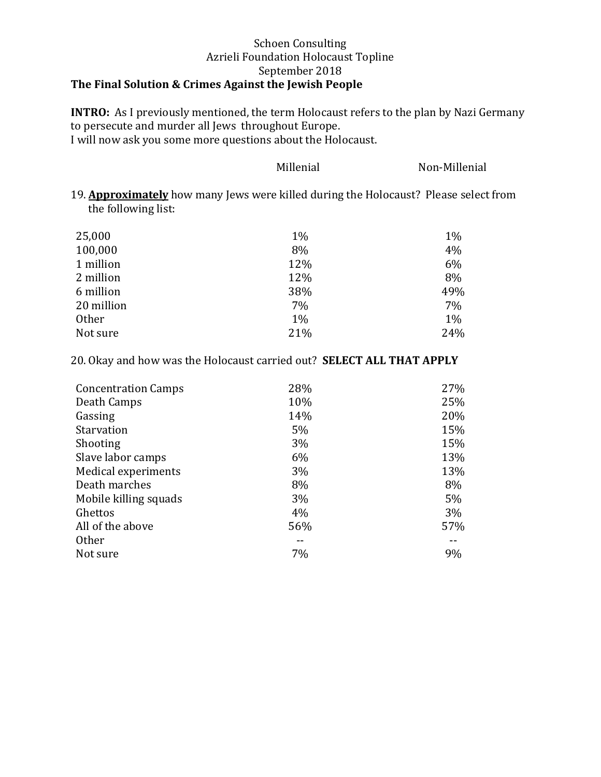#### **Schoen Consulting** Azrieli Foundation Holocaust Topline September 2018 The Final Solution & Crimes Against the Jewish People

**INTRO:** As I previously mentioned, the term Holocaust refers to the plan by Nazi Germany to persecute and murder all Jews throughout Europe. I will now ask you some more questions about the Holocaust.

|                     | Millenial                                                                            | Non-Millenial |
|---------------------|--------------------------------------------------------------------------------------|---------------|
| the following list: | 19. Approximately how many Jews were killed during the Holocaust? Please select from |               |
| 25,000              | 1%                                                                                   | 1%            |
| 100,000             | 8%                                                                                   | 4%            |
| 1 million           | 12%                                                                                  | 6%            |
| 2 million           | 12%                                                                                  | 8%            |
| 6 million           | 38%                                                                                  | 49%           |
| 20 million          | 7%                                                                                   | 7%            |
| <b>Other</b>        | $1\%$                                                                                | $1\%$         |
| Not sure            | 21%                                                                                  | 24%           |
|                     |                                                                                      |               |

20. Okay and how was the Holocaust carried out? **SELECT ALL THAT APPLY** 

| <b>Concentration Camps</b> | 28% | 27% |
|----------------------------|-----|-----|
| Death Camps                | 10% | 25% |
| Gassing                    | 14% | 20% |
| Starvation                 | 5%  | 15% |
| Shooting                   | 3%  | 15% |
| Slave labor camps          | 6%  | 13% |
| Medical experiments        | 3%  | 13% |
| Death marches              | 8%  | 8%  |
| Mobile killing squads      | 3%  | 5%  |
| Ghettos                    | 4%  | 3%  |
| All of the above           | 56% | 57% |
| <b>Other</b>               |     |     |
| Not sure                   | 7%  | 9%  |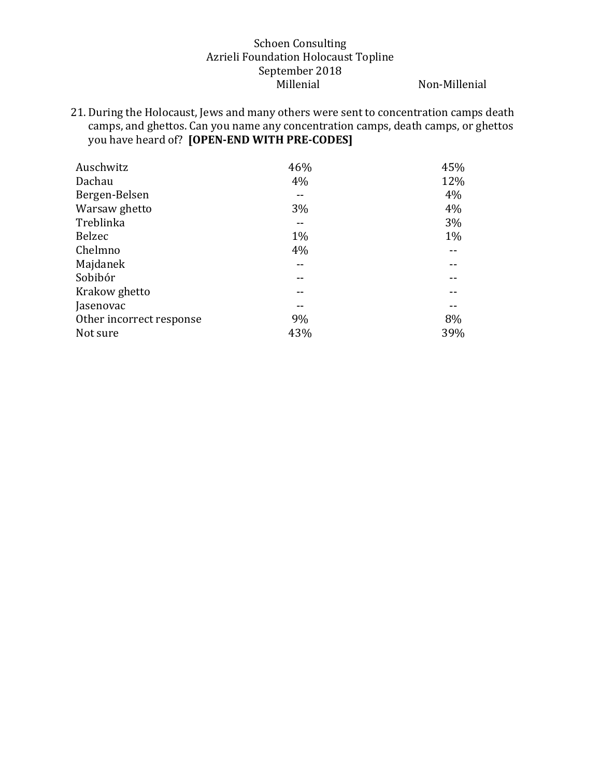#### **Schoen Consulting** Azrieli Foundation Holocaust Topline September 2018 Millenial Non-Millenial

21. During the Holocaust, Jews and many others were sent to concentration camps death camps, and ghettos. Can you name any concentration camps, death camps, or ghettos you have heard of? **[OPEN-END WITH PRE-CODES]** 

| Auschwitz                | 46% | 45%   |
|--------------------------|-----|-------|
| Dachau                   | 4%  | 12%   |
| Bergen-Belsen            |     | 4%    |
| Warsaw ghetto            | 3%  | 4%    |
| Treblinka                |     | 3%    |
| Belzec                   | 1%  | $1\%$ |
| Chelmno                  | 4%  |       |
| Majdanek                 |     |       |
| Sobibór                  |     |       |
| Krakow ghetto            |     |       |
| Jasenovac                |     |       |
| Other incorrect response | 9%  | 8%    |
| Not sure                 | 43% | 39%   |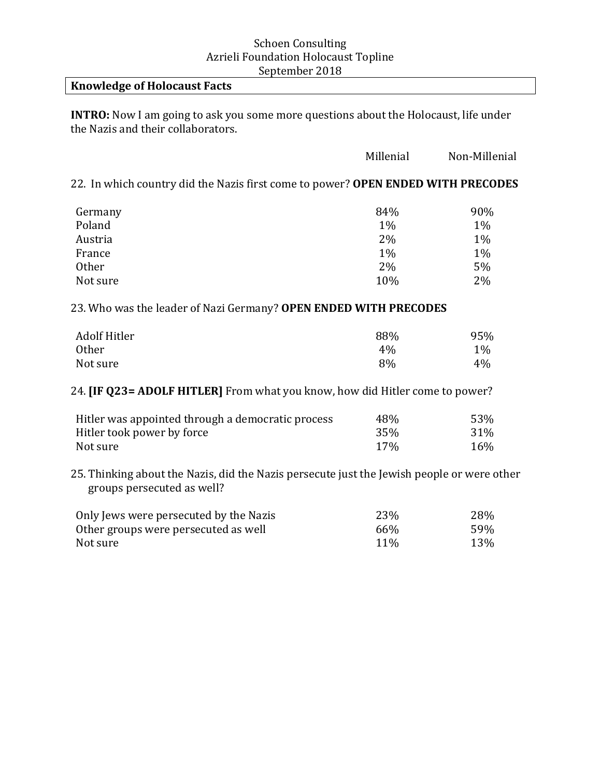## **Knowledge of Holocaust Facts**

**INTRO:** Now I am going to ask you some more questions about the Holocaust, life under the Nazis and their collaborators.

|                                                                                                                          | Millenial | Non-Millenial |
|--------------------------------------------------------------------------------------------------------------------------|-----------|---------------|
| 22. In which country did the Nazis first come to power? OPEN ENDED WITH PRECODES                                         |           |               |
| Germany                                                                                                                  | 84%       | 90%           |
| Poland                                                                                                                   | $1\%$     | 1%            |
| Austria                                                                                                                  | 2%        | 1%            |
| France                                                                                                                   | 1%        | 1%            |
| Other                                                                                                                    | 2%        | 5%            |
| Not sure                                                                                                                 | 10%       | 2%            |
| 23. Who was the leader of Nazi Germany? OPEN ENDED WITH PRECODES                                                         |           |               |
| <b>Adolf Hitler</b>                                                                                                      | 88%       | 95%           |
| Other                                                                                                                    | 4%        | 1%            |
| Not sure                                                                                                                 | 8%        | 4%            |
| 24. <b>[IF Q23= ADOLF HITLER]</b> From what you know, how did Hitler come to power?                                      |           |               |
| Hitler was appointed through a democratic process                                                                        | 48%       | 53%           |
| Hitler took power by force                                                                                               | 35%       | 31%           |
| Not sure                                                                                                                 | 17%       | 16%           |
| 25. Thinking about the Nazis, did the Nazis persecute just the Jewish people or were other<br>groups persecuted as well? |           |               |
| Only Jews were persecuted by the Nazis                                                                                   | 23%       | 28%           |
| Other groups were persecuted as well                                                                                     | 66%       | 59%           |
| Not sure                                                                                                                 | 11%       | 13%           |
|                                                                                                                          |           |               |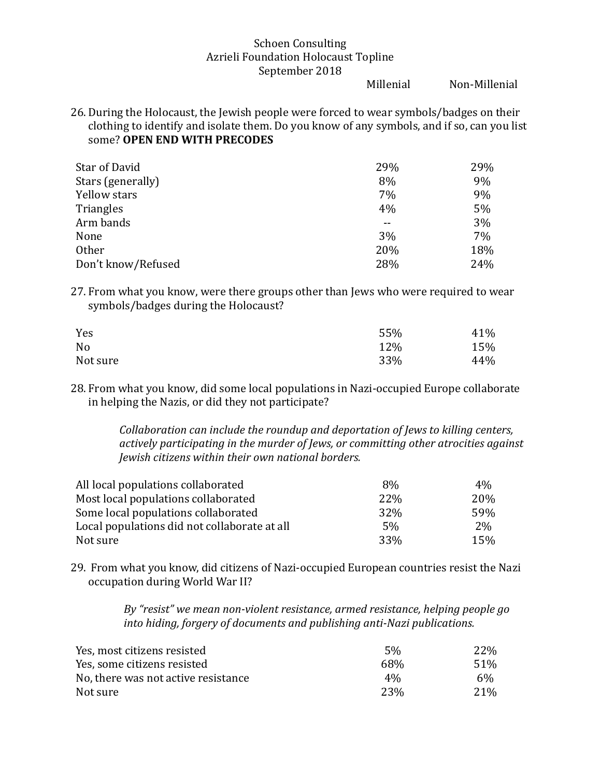Millenial Non-Millenial

26. During the Holocaust, the Jewish people were forced to wear symbols/badges on their clothing to identify and isolate them. Do you know of any symbols, and if so, can you list some? **OPEN END WITH PRECODES**

| Star of David      | 29% | 29% |
|--------------------|-----|-----|
| Stars (generally)  | 8%  | 9%  |
| Yellow stars       | 7%  | 9%  |
| Triangles          | 4%  | 5%  |
| Arm bands          |     | 3%  |
| None               | 3%  | 7%  |
| Other              | 20% | 18% |
| Don't know/Refused | 28% | 24% |

27. From what you know, were there groups other than Jews who were required to wear symbols/badges during the Holocaust?

| Yes            | 55% | 41% |
|----------------|-----|-----|
| N <sub>o</sub> | 12% | 15% |
| Not sure       | 33% | 44% |

28. From what you know, did some local populations in Nazi-occupied Europe collaborate in helping the Nazis, or did they not participate?

> *Collaboration can include the roundup and deportation of Jews to killing centers,* actively participating in the murder of Jews, or committing other atrocities against *Jewish citizens within their own national borders.*

| All local populations collaborated           | 8%         | 4%  |
|----------------------------------------------|------------|-----|
| Most local populations collaborated          | <b>22%</b> | 20% |
| Some local populations collaborated          | <b>32%</b> | 59% |
| Local populations did not collaborate at all | 5%         | 2%  |
| Not sure                                     | 33%        | 15% |

29. From what you know, did citizens of Nazi-occupied European countries resist the Nazi occupation during World War II?

> By "resist" we mean non-violent resistance, armed resistance, helping people go *into hiding, forgery of documents and publishing anti-Nazi publications.*

| Yes, most citizens resisted         | .5%   | 22\%  |
|-------------------------------------|-------|-------|
| Yes, some citizens resisted         | 68%   | 51%   |
| No, there was not active resistance | $4\%$ | $6\%$ |
| Not sure                            | 23%   | 21%   |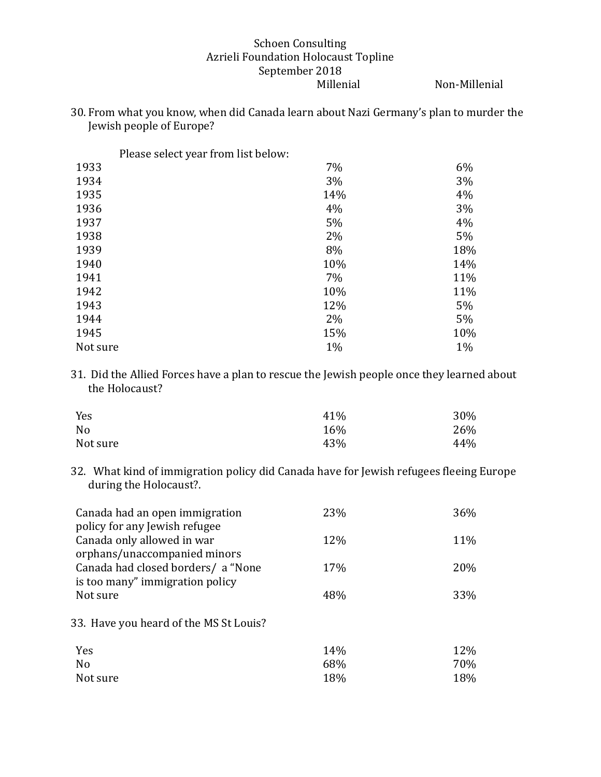#### **Schoen Consulting** Azrieli Foundation Holocaust Topline September 2018 Millenial Non-Millenial

30. From what you know, when did Canada learn about Nazi Germany's plan to murder the Jewish people of Europe?

| Please select year from list below: |     |     |
|-------------------------------------|-----|-----|
| 1933                                | 7%  | 6%  |
| 1934                                | 3%  | 3%  |
| 1935                                | 14% | 4%  |
| 1936                                | 4%  | 3%  |
| 1937                                | 5%  | 4%  |
| 1938                                | 2%  | 5%  |
| 1939                                | 8%  | 18% |
| 1940                                | 10% | 14% |
| 1941                                | 7%  | 11% |
| 1942                                | 10% | 11% |
| 1943                                | 12% | 5%  |
| 1944                                | 2%  | 5%  |
| 1945                                | 15% | 10% |
| Not sure                            | 1%  | 1%  |

31. Did the Allied Forces have a plan to rescue the Jewish people once they learned about the Holocaust?

| Yes            | 41% | 30% |
|----------------|-----|-----|
| N <sub>o</sub> | 16% | 26% |
| Not sure       | 43% | 44% |

32. What kind of immigration policy did Canada have for Jewish refugees fleeing Europe during the Holocaust?.

| Canada had an open immigration         | 23% | 36% |
|----------------------------------------|-----|-----|
| policy for any Jewish refugee          |     |     |
| Canada only allowed in war             | 12% | 11% |
| orphans/unaccompanied minors           |     |     |
| Canada had closed borders/ a "None     | 17% | 20% |
| is too many" immigration policy        |     |     |
| Not sure                               | 48% | 33% |
| 33. Have you heard of the MS St Louis? |     |     |
| Yes                                    | 14% | 12% |
| No.                                    | 68% | 70% |
| Not sure                               | 18% | 18% |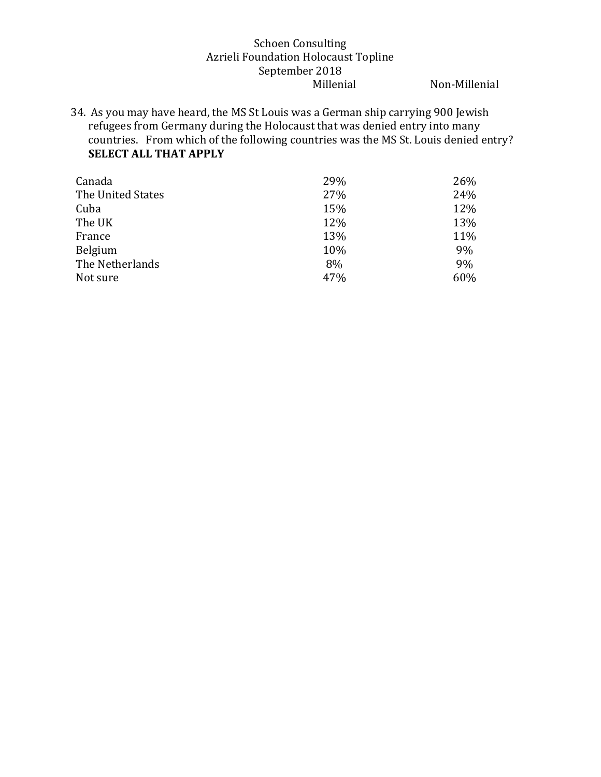Non-Millenial

34. As you may have heard, the MS St Louis was a German ship carrying 900 Jewish refugees from Germany during the Holocaust that was denied entry into many countries. From which of the following countries was the MS St. Louis denied entry? **SELECT ALL THAT APPLY** 

| Canada            | 29% | 26% |
|-------------------|-----|-----|
| The United States | 27% | 24% |
| Cuba              | 15% | 12% |
| The UK            | 12% | 13% |
| France            | 13% | 11% |
| <b>Belgium</b>    | 10% | 9%  |
| The Netherlands   | 8%  | 9%  |
| Not sure          | 47% | 60% |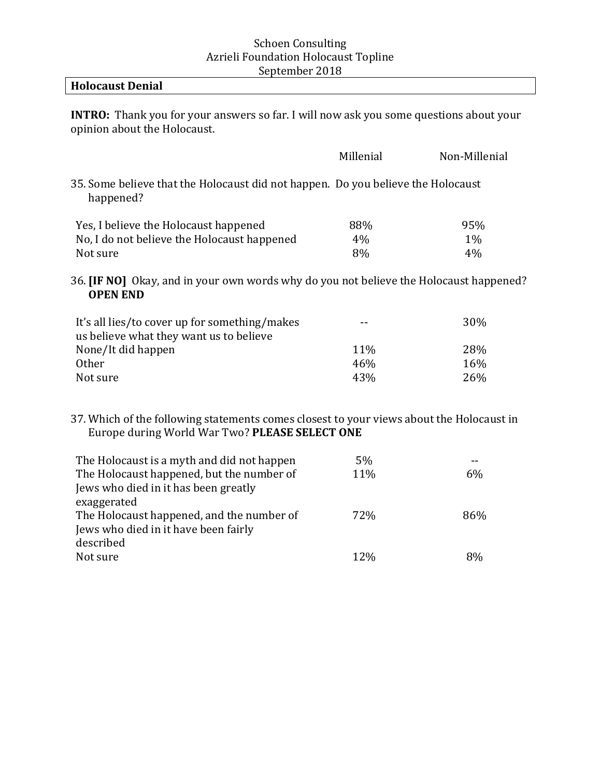## **Holocaust Denial**

exaggerated

described

The Holocaust happened, and the number of

Jews who died in it have been fairly

**INTRO:** Thank you for your answers so far. I will now ask you some questions about your opinion about the Holocaust.

|                                                                                                                                            | Millenial | Non-Millenial |
|--------------------------------------------------------------------------------------------------------------------------------------------|-----------|---------------|
| 35. Some believe that the Holocaust did not happen. Do you believe the Holocaust<br>happened?                                              |           |               |
| Yes, I believe the Holocaust happened                                                                                                      | 88%       | 95%           |
| No, I do not believe the Holocaust happened                                                                                                | 4%        | 1%            |
| Not sure                                                                                                                                   | 8%        | 4%            |
| 36. <b>[IF NO]</b> Okay, and in your own words why do you not believe the Holocaust happened?<br><b>OPEN END</b>                           |           |               |
| It's all lies/to cover up for something/makes<br>us believe what they want us to believe                                                   |           | 30%           |
| None/It did happen                                                                                                                         | 11%       | 28%           |
| <b>Other</b>                                                                                                                               | 46%       | 16%           |
| Not sure                                                                                                                                   | 43%       | 26%           |
| 37. Which of the following statements comes closest to your views about the Holocaust in<br>Europe during World War Two? PLEASE SELECT ONE |           |               |
| The Holocaust is a myth and did not happen                                                                                                 | 5%        |               |
| The Holocaust happened, but the number of                                                                                                  | 11%       | 6%            |
| Jews who died in it has been greatly                                                                                                       |           |               |

Not sure  $12\%$  8%

72% 86%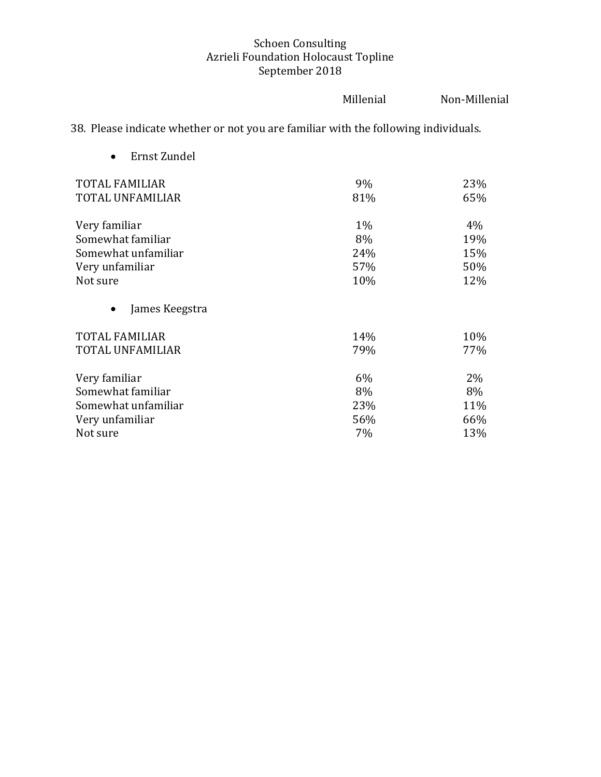|                                                                                     | Millenial | Non-Millenial |
|-------------------------------------------------------------------------------------|-----------|---------------|
| 38. Please indicate whether or not you are familiar with the following individuals. |           |               |
| Ernst Zundel                                                                        |           |               |
| <b>TOTAL FAMILIAR</b>                                                               | 9%        | 23%           |
| TOTAL UNFAMILIAR                                                                    | 81%       | 65%           |
| Very familiar                                                                       | 1%        | 4%            |
| Somewhat familiar                                                                   | 8%        | 19%           |
| Somewhat unfamiliar                                                                 | 24%       | 15%           |
| Very unfamiliar                                                                     | 57%       | 50%           |
| Not sure                                                                            | 10%       | 12%           |
| James Keegstra                                                                      |           |               |
| <b>TOTAL FAMILIAR</b>                                                               | 14%       | 10%           |
| <b>TOTAL UNFAMILIAR</b>                                                             | 79%       | 77%           |
| Very familiar                                                                       | 6%        | 2%            |
| Somewhat familiar                                                                   | 8%        | 8%            |
| Somewhat unfamiliar                                                                 | 23%       | 11%           |
| Very unfamiliar                                                                     | 56%       | 66%           |
| Not sure                                                                            | 7%        | 13%           |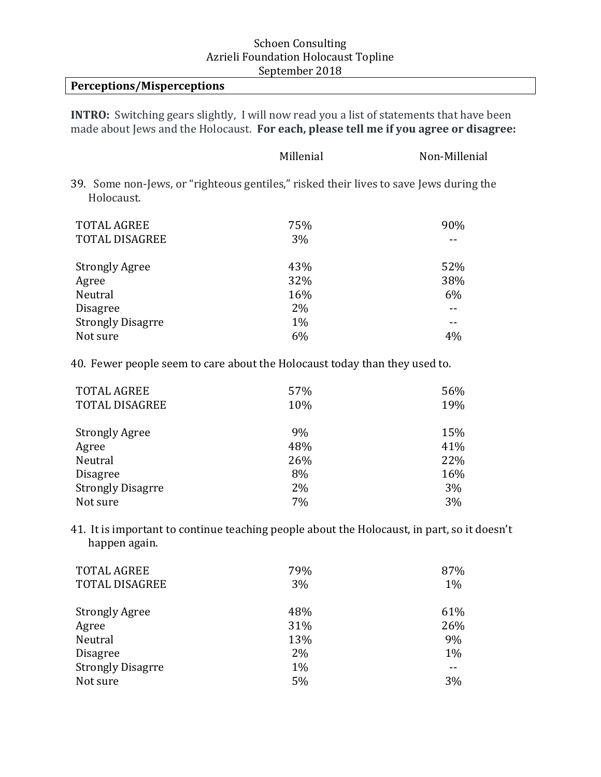## **Perceptions/Misperceptions**

**INTRO:** Switching gears slightly, I will now read you a list of statements that have been made about Jews and the Holocaust. For each, please tell me if you agree or disagree:

|                                                                                                      | Millenial | Non-Millenial |
|------------------------------------------------------------------------------------------------------|-----------|---------------|
| 39. Some non-Jews, or "righteous gentiles," risked their lives to save Jews during the<br>Holocaust. |           |               |
| <b>TOTAL AGREE</b>                                                                                   | 75%       | 90%           |
| <b>TOTAL DISAGREE</b>                                                                                | 3%        |               |
| <b>Strongly Agree</b>                                                                                | 43%       | 52%           |
| Agree                                                                                                | 32%       | 38%           |
| Neutral                                                                                              | 16%       | 6%            |
| <b>Disagree</b>                                                                                      | 2%        |               |
| <b>Strongly Disagrre</b>                                                                             | $1\%$     |               |
| Not sure                                                                                             | 6%        | 4%            |

40. Fewer people seem to care about the Holocaust today than they used to.

| <b>TOTAL AGREE</b><br><b>TOTAL DISAGREE</b> | 57%<br>10% | 56%<br>19% |
|---------------------------------------------|------------|------------|
| <b>Strongly Agree</b>                       | 9%         | 15%        |
| Agree                                       | 48%        | 41%        |
| Neutral                                     | 26%        | 22%        |
| <b>Disagree</b>                             | 8%         | 16%        |
| <b>Strongly Disagrre</b>                    | 2%         | 3%         |
| Not sure                                    | 7%         | 3%         |

41. It is important to continue teaching people about the Holocaust, in part, so it doesn't happen again.

| <b>TOTAL AGREE</b><br><b>TOTAL DISAGREE</b> | 79%<br>3% | 87%<br>1% |
|---------------------------------------------|-----------|-----------|
| <b>Strongly Agree</b>                       | 48%       | 61%       |
| Agree                                       | 31%       | 26%       |
| Neutral                                     | 13%       | 9%        |
| <b>Disagree</b>                             | 2%        | 1%        |
| <b>Strongly Disagrre</b>                    | 1%        | --        |
| Not sure                                    | 5%        | 3%        |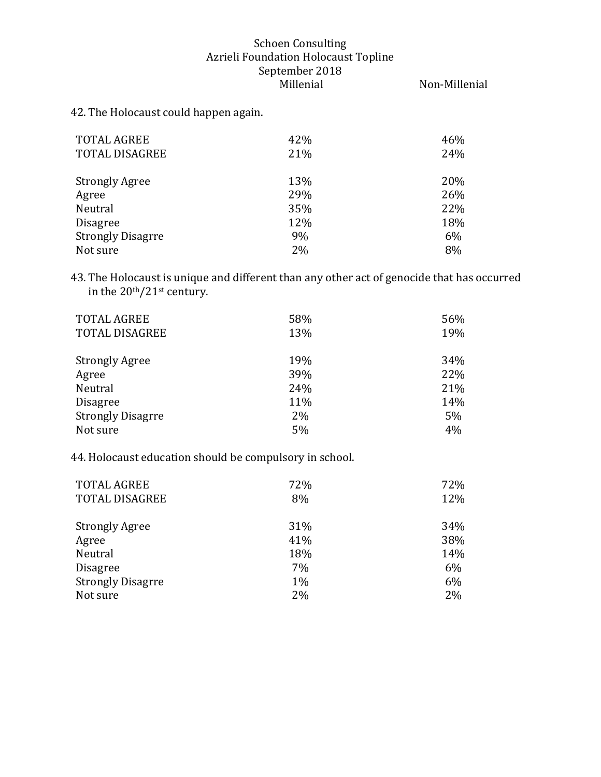Non-Millenial

42. The Holocaust could happen again.

| <b>TOTAL AGREE</b><br><b>TOTAL DISAGREE</b> | 42%<br>21% | 46%<br>24% |
|---------------------------------------------|------------|------------|
| <b>Strongly Agree</b>                       | 13%        | 20%        |
| Agree                                       | 29%        | 26%        |
| Neutral                                     | 35%        | 22%        |
| <b>Disagree</b>                             | 12%        | 18%        |
| <b>Strongly Disagrre</b>                    | 9%         | 6%         |
| Not sure                                    | 2%         | 8%         |

43. The Holocaust is unique and different than any other act of genocide that has occurred in the  $20<sup>th</sup>/21<sup>st</sup>$  century.

| <b>TOTAL AGREE</b><br><b>TOTAL DISAGREE</b> | 58%<br>13% | 56%<br>19% |
|---------------------------------------------|------------|------------|
| <b>Strongly Agree</b>                       | 19%        | 34%        |
| Agree                                       | 39%        | 22%        |
| Neutral                                     | 24%        | 21%        |
| <b>Disagree</b>                             | 11%        | 14%        |
| <b>Strongly Disagrre</b>                    | 2%         | 5%         |
| Not sure                                    | 5%         | 4%         |

44. Holocaust education should be compulsory in school.

| <b>TOTAL AGREE</b>       | 72% | 72% |
|--------------------------|-----|-----|
| <b>TOTAL DISAGREE</b>    | 8%  | 12% |
|                          |     |     |
| <b>Strongly Agree</b>    | 31% | 34% |
| Agree                    | 41% | 38% |
| Neutral                  | 18% | 14% |
| <b>Disagree</b>          | 7%  | 6%  |
| <b>Strongly Disagrre</b> | 1%  | 6%  |
| Not sure                 | 2%  | 2%  |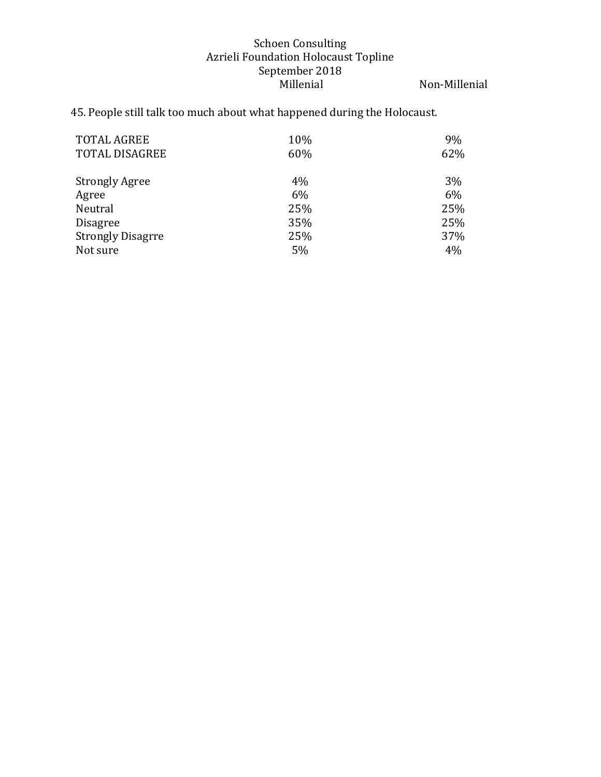Non-Millenial

## 45. People still talk too much about what happened during the Holocaust.

| <b>TOTAL AGREE</b>       | 10% | 9%  |
|--------------------------|-----|-----|
| <b>TOTAL DISAGREE</b>    | 60% | 62% |
| <b>Strongly Agree</b>    | 4%  | 3%  |
| Agree                    | 6%  | 6%  |
| Neutral                  | 25% | 25% |
| <b>Disagree</b>          | 35% | 25% |
| <b>Strongly Disagrre</b> | 25% | 37% |
| Not sure                 | 5%  | 4%  |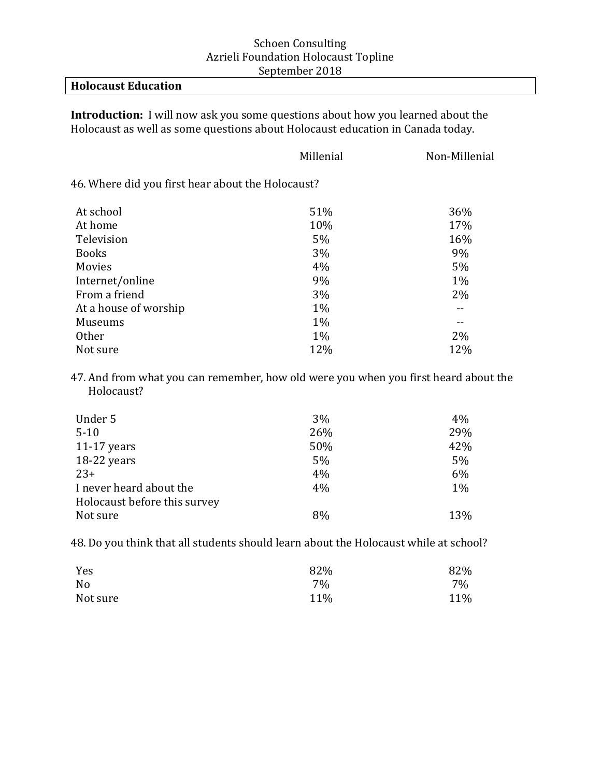## **Holocaust Education**

**Introduction:** I will now ask you some questions about how you learned about the Holocaust as well as some questions about Holocaust education in Canada today.

|                                                   | Millenial | Non-Millenial |
|---------------------------------------------------|-----------|---------------|
| 46. Where did you first hear about the Holocaust? |           |               |
| At school                                         | 51%       | 36%           |
| At home                                           | 10%       | 17%           |
| Television                                        | 5%        | 16%           |
| <b>Books</b>                                      | 3%        | 9%            |
| Movies                                            | 4%        | 5%            |
| Internet/online                                   | 9%        | $1\%$         |
| From a friend                                     | 3%        | 2%            |
| At a house of worship                             | $1\%$     |               |
| <b>Museums</b>                                    | $1\%$     |               |
| <b>Other</b>                                      | $1\%$     | 2%            |
| Not sure                                          | 12%       | 12%           |

47. And from what you can remember, how old were you when you first heard about the Holocaust? 

| 3%  | 4%  |
|-----|-----|
| 26% | 29% |
| 50% | 42% |
| 5%  | 5%  |
| 4%  | 6%  |
| 4%  | 1%  |
|     |     |
| 8%  | 13% |
|     |     |

48. Do you think that all students should learn about the Holocaust while at school?

| Yes      | 82% | 82% |
|----------|-----|-----|
| No       | 7%  | 7%  |
| Not sure | 11% | 11% |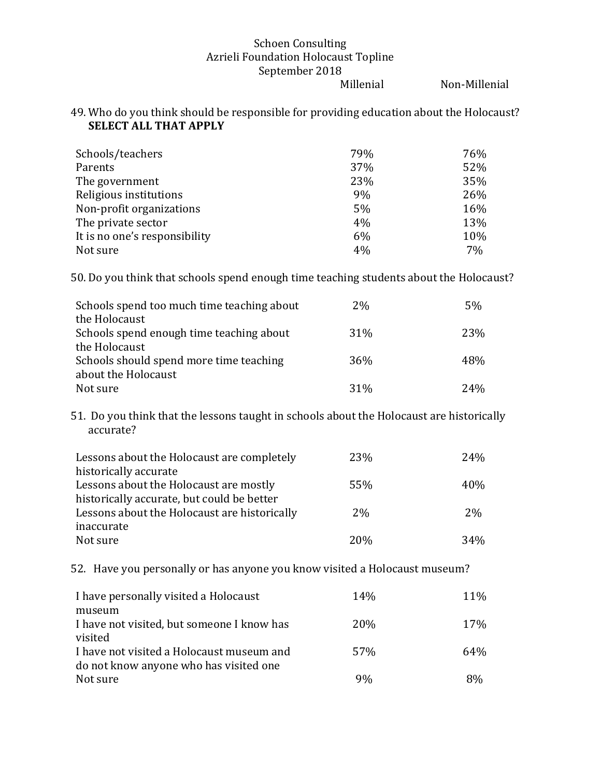Millenial Non-Millenial

#### 49. Who do you think should be responsible for providing education about the Holocaust? **SELECT ALL THAT APPLY**

| Schools/teachers              | 79% | 76% |
|-------------------------------|-----|-----|
| Parents                       | 37% | 52% |
| The government                | 23% | 35% |
| Religious institutions        | 9%  | 26% |
| Non-profit organizations      | 5%  | 16% |
| The private sector            | 4%  | 13% |
| It is no one's responsibility | 6%  | 10% |
| Not sure                      | 4%  | 7%  |

50. Do you think that schools spend enough time teaching students about the Holocaust?

| Schools spend too much time teaching about                     | $2\%$ | 5%   |
|----------------------------------------------------------------|-------|------|
| the Holocaust                                                  |       |      |
| Schools spend enough time teaching about                       | 31%   | 23%  |
| the Holocaust                                                  |       |      |
| Schools should spend more time teaching<br>about the Holocaust | 36%   | 48%  |
| Not sure                                                       | 31%   | 2.4% |
|                                                                |       |      |

51. Do you think that the lessons taught in schools about the Holocaust are historically accurate?

| Lessons about the Holocaust are completely   | 23%       | 24% |
|----------------------------------------------|-----------|-----|
| historically accurate                        |           |     |
| Lessons about the Holocaust are mostly       | 55%       | 40% |
| historically accurate, but could be better   |           |     |
| Lessons about the Holocaust are historically | <b>2%</b> | 2%  |
| inaccurate                                   |           |     |
| Not sure                                     | 20%       | 34% |

### 52. Have you personally or has anyone you know visited a Holocaust museum?

| I have personally visited a Holocaust      | 14%        | 11% |
|--------------------------------------------|------------|-----|
| museum                                     |            |     |
| I have not visited, but someone I know has | <b>20%</b> | 17% |
| visited                                    |            |     |
| I have not visited a Holocaust museum and  | 57%        | 64% |
| do not know anyone who has visited one     |            |     |
| Not sure                                   | 9%         | 8%  |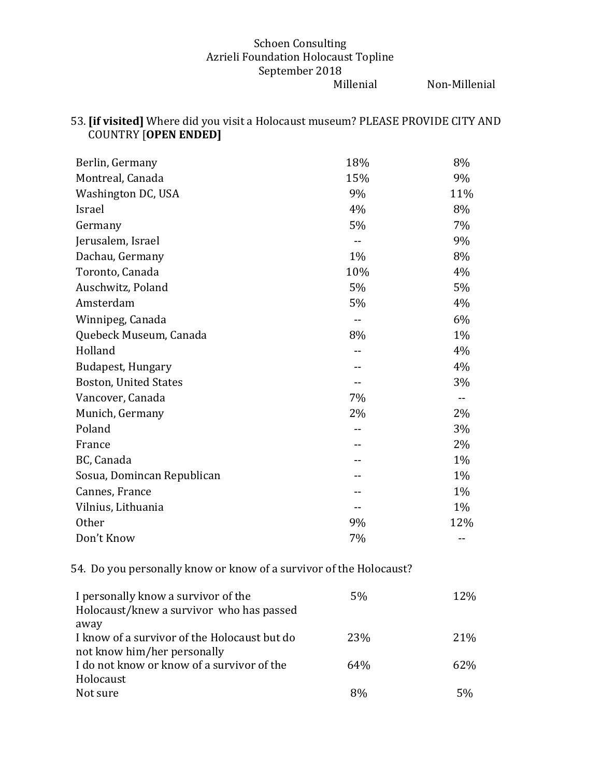Non-Millenial

## 53. [if visited] Where did you visit a Holocaust museum? PLEASE PROVIDE CITY AND COUNTRY [**OPEN ENDED]**

| Berlin, Germany              | 18% | 8%                       |
|------------------------------|-----|--------------------------|
| Montreal, Canada             | 15% | 9%                       |
| Washington DC, USA           | 9%  | 11%                      |
| Israel                       | 4%  | 8%                       |
| Germany                      | 5%  | 7%                       |
| Jerusalem, Israel            | --  | 9%                       |
| Dachau, Germany              | 1%  | 8%                       |
| Toronto, Canada              | 10% | 4%                       |
| Auschwitz, Poland            | 5%  | 5%                       |
| Amsterdam                    | 5%  | 4%                       |
| Winnipeg, Canada             |     | 6%                       |
| Quebeck Museum, Canada       | 8%  | 1%                       |
| Holland                      |     | 4%                       |
| Budapest, Hungary            |     | 4%                       |
| <b>Boston, United States</b> |     | 3%                       |
| Vancover, Canada             | 7%  | $\overline{\phantom{a}}$ |
| Munich, Germany              | 2%  | 2%                       |
| Poland                       |     | 3%                       |
| France                       |     | 2%                       |
| BC, Canada                   |     | 1%                       |
| Sosua, Domincan Republican   |     | 1%                       |
| Cannes, France               |     | 1%                       |
| Vilnius, Lithuania           |     | 1%                       |
| <b>Other</b>                 | 9%  | 12%                      |
| Don't Know                   | 7%  | --                       |

## 54. Do you personally know or know of a survivor of the Holocaust?

| I personally know a survivor of the          | 5%  | 12% |
|----------------------------------------------|-----|-----|
| Holocaust/knew a survivor who has passed     |     |     |
| away                                         |     |     |
| I know of a survivor of the Holocaust but do | 23% | 21% |
| not know him/her personally                  |     |     |
| I do not know or know of a survivor of the   | 64% | 62% |
| Holocaust                                    |     |     |
| Not sure                                     | 8%  | 5%  |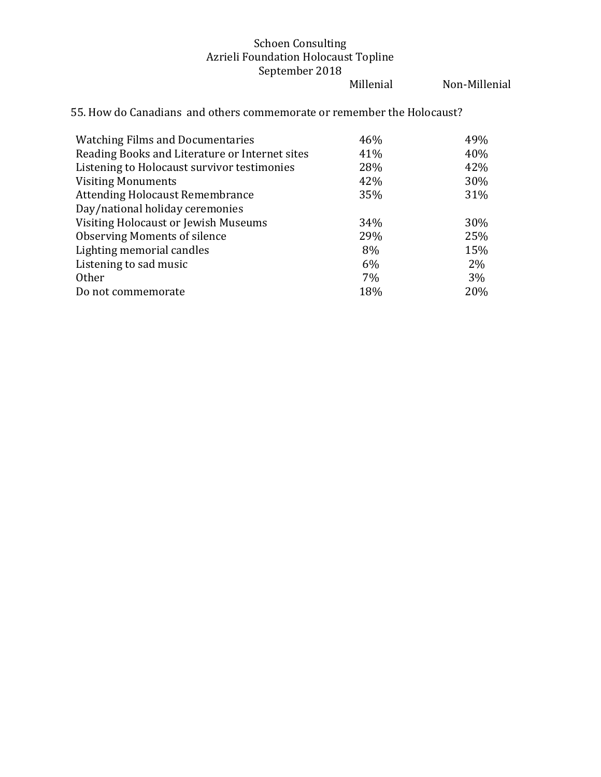Millenial Non-Millenial

55. How do Canadians and others commemorate or remember the Holocaust?

| <b>Watching Films and Documentaries</b>        | 46% | 49%   |
|------------------------------------------------|-----|-------|
| Reading Books and Literature or Internet sites | 41% | 40%   |
| Listening to Holocaust survivor testimonies    | 28% | 42%   |
| <b>Visiting Monuments</b>                      | 42% | 30%   |
| <b>Attending Holocaust Remembrance</b>         | 35% | 31%   |
| Day/national holiday ceremonies                |     |       |
| Visiting Holocaust or Jewish Museums           | 34% | 30%   |
| <b>Observing Moments of silence</b>            | 29% | 25%   |
| Lighting memorial candles                      | 8%  | 15%   |
| Listening to sad music                         | 6%  | 2%    |
| Other                                          | 7%  | $3\%$ |
| Do not commemorate                             | 18% | 20%   |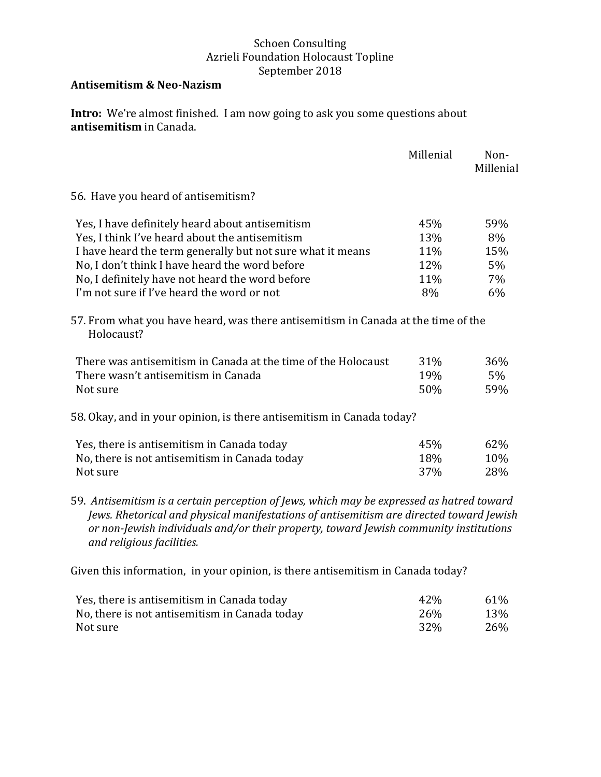#### **Antisemitism & Neo-Nazism**

**Intro:** We're almost finished. I am now going to ask you some questions about **antisemitism** in Canada.

|                                                                                                                                                                  | Millenial | Non-<br>Millenial |
|------------------------------------------------------------------------------------------------------------------------------------------------------------------|-----------|-------------------|
| 56. Have you heard of antisemitism?                                                                                                                              |           |                   |
| Yes, I have definitely heard about antisemitism                                                                                                                  | 45%       | 59%               |
| Yes, I think I've heard about the antisemitism                                                                                                                   | 13%       | 8%                |
| I have heard the term generally but not sure what it means                                                                                                       | 11%       | 15%               |
| No, I don't think I have heard the word before                                                                                                                   | 12%       | 5%                |
| No, I definitely have not heard the word before                                                                                                                  | 11%       | 7%                |
| I'm not sure if I've heard the word or not                                                                                                                       | 8%        | 6%                |
| 57. From what you have heard, was there antisemitism in Canada at the time of the<br>Holocaust?<br>There was antisemitism in Canada at the time of the Holocaust | 31%       | 36%               |
| There wasn't antisemitism in Canada                                                                                                                              | 19%       | 5%                |
| Not sure                                                                                                                                                         | 50%       | 59%               |
| 58. Okay, and in your opinion, is there antisemitism in Canada today?                                                                                            |           |                   |
| Yes, there is antisemitism in Canada today                                                                                                                       | 45%       | 62%               |
| No, there is not antisemitism in Canada today                                                                                                                    | 18%       | 10%               |
| Not sure                                                                                                                                                         | 37%       | 28%               |
| 59. Antisemitism is a certain perception of Jews, which may be expressed as hatred toward                                                                        |           |                   |

Jews. Rhetorical and physical manifestations of antisemitism are directed toward Jewish *or non-Jewish individuals and/or their property, toward Jewish community institutions and religious facilities.*

Given this information, in your opinion, is there antisemitism in Canada today?

| Yes, there is antisemitism in Canada today    | 42%             | 61% |
|-----------------------------------------------|-----------------|-----|
| No, there is not antisemitism in Canada today | 26 <sub>%</sub> | 13% |
| Not sure                                      | 32 <sub>%</sub> | 26% |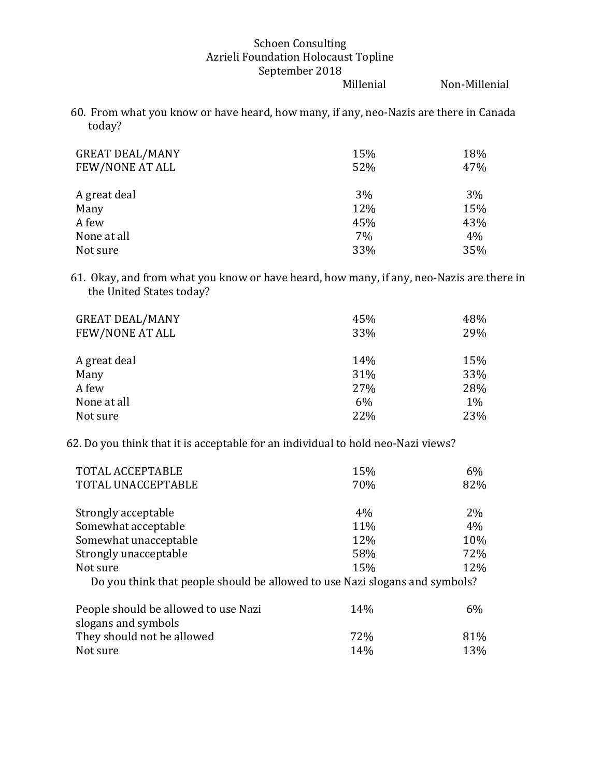Non-Millenial

60. From what you know or have heard, how many, if any, neo-Nazis are there in Canada today?

| <b>GREAT DEAL/MANY</b><br><b>FEW/NONE AT ALL</b> | 15%<br>52% | 18%<br>47% |
|--------------------------------------------------|------------|------------|
| A great deal                                     | 3%         | 3%         |
| Many                                             | 12%        | 15%        |
| A few                                            | 45%        | 43%        |
| None at all                                      | 7%         | 4%         |
| Not sure                                         | 33%        | 35%        |

61. Okay, and from what you know or have heard, how many, if any, neo-Nazis are there in the United States today?

| <b>GREAT DEAL/MANY</b><br>FEW/NONE AT ALL | 45%<br>33% | 48%<br>29% |
|-------------------------------------------|------------|------------|
| A great deal<br>Many                      | 14%<br>31% | 15%<br>33% |
| A few                                     | 27%        | 28%        |
| None at all                               | 6%         | 1%         |
| Not sure                                  | 22%        | 23%        |

62. Do you think that it is acceptable for an individual to hold neo-Nazi views?

| <b>TOTAL ACCEPTABLE</b>                                                     | 15% | 6%  |
|-----------------------------------------------------------------------------|-----|-----|
| TOTAL UNACCEPTABLE                                                          | 70% | 82% |
|                                                                             |     |     |
| Strongly acceptable                                                         | 4%  | 2%  |
| Somewhat acceptable                                                         | 11% | 4%  |
| Somewhat unacceptable                                                       | 12% | 10% |
| Strongly unacceptable                                                       | 58% | 72% |
| Not sure                                                                    | 15% | 12% |
| Do you think that people should be allowed to use Nazi slogans and symbols? |     |     |
| People should be allowed to use Nazi                                        | 14% | 6%  |
| slogans and symbols                                                         |     |     |
| They should not be allowed                                                  | 72% | 81% |
| Not sure                                                                    | 14% | 13% |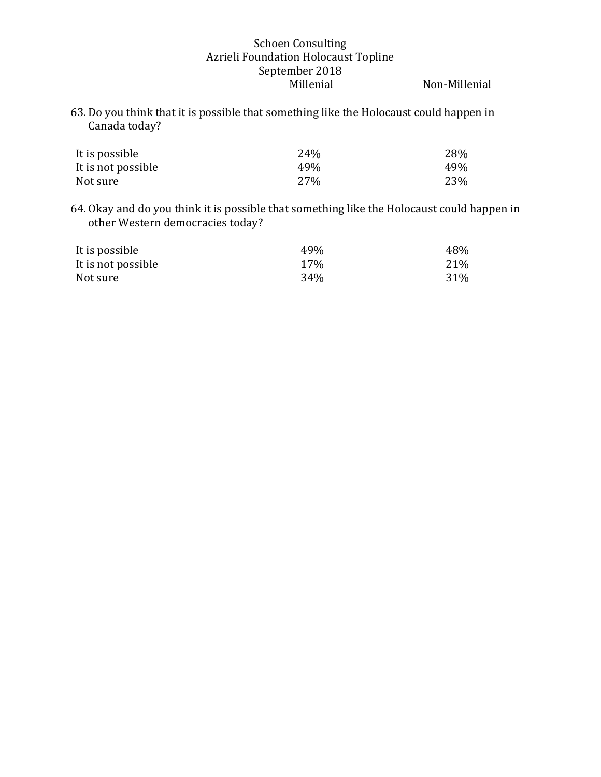Non-Millenial

63. Do you think that it is possible that something like the Holocaust could happen in Canada today? 

| It is possible     | 24% | 28% |
|--------------------|-----|-----|
| It is not possible | 49% | 49% |
| Not sure           | 27% | 23% |

64. Okay and do you think it is possible that something like the Holocaust could happen in other Western democracies today?

| It is possible     | 49% | 48% |
|--------------------|-----|-----|
| It is not possible | 17% | 21% |
| Not sure           | 34% | 31% |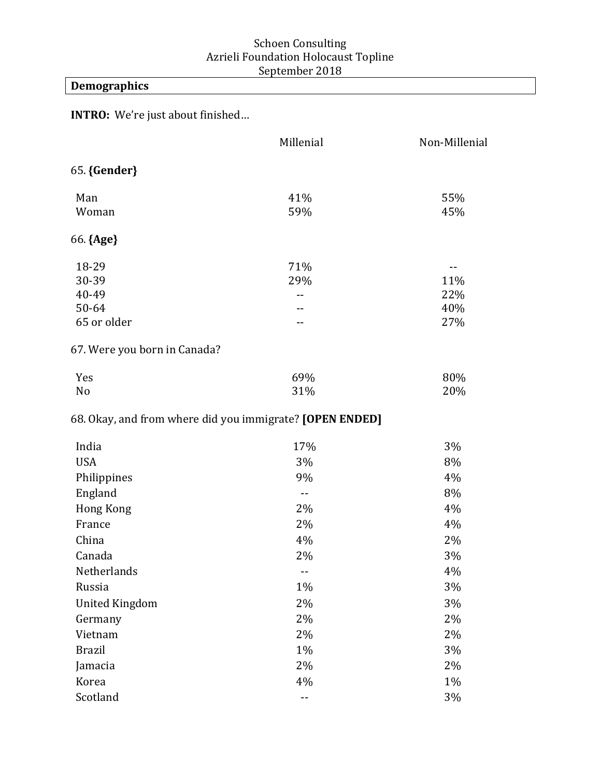# **Demographics**

**INTRO:** We're just about finished...

|                              | Millenial                                                | Non-Millenial |
|------------------------------|----------------------------------------------------------|---------------|
| 65. {Gender}                 |                                                          |               |
| Man                          | 41%                                                      | 55%           |
| Woman                        | 59%                                                      | 45%           |
| 66. {Age}                    |                                                          |               |
| 18-29                        | 71%                                                      | $- -$         |
| 30-39                        | 29%                                                      | 11%           |
| 40-49                        | --                                                       | 22%           |
| 50-64                        |                                                          | 40%           |
| 65 or older                  | --                                                       | 27%           |
| 67. Were you born in Canada? |                                                          |               |
| Yes                          | 69%                                                      | 80%           |
| No                           | 31%                                                      | 20%           |
|                              | 68. Okay, and from where did you immigrate? [OPEN ENDED] |               |
| India                        | 17%                                                      | 3%            |
| <b>USA</b>                   | 3%                                                       | 8%            |
| Philippines                  | 9%                                                       | 4%            |
| England                      | $\mathord{\hspace{1pt}\text{--}\hspace{1pt}}$            | 8%            |
| Hong Kong                    | 2%                                                       | 4%            |
| France                       | 2%                                                       | 4%            |
| China                        | 4%                                                       | 2%            |
| Canada                       | 2%                                                       | 3%            |
| Netherlands                  | $- -$                                                    | 4%            |
| Russia                       | 1%                                                       | 3%            |
| <b>United Kingdom</b>        | 2%                                                       | 3%            |
| Germany                      | 2%                                                       | 2%            |
| Vietnam                      | 2%                                                       | 2%            |
| <b>Brazil</b>                | 1%                                                       | 3%            |
| Jamacia                      | 2%                                                       | 2%            |
| Korea                        | 4%                                                       | 1%            |
| Scotland                     | --                                                       | 3%            |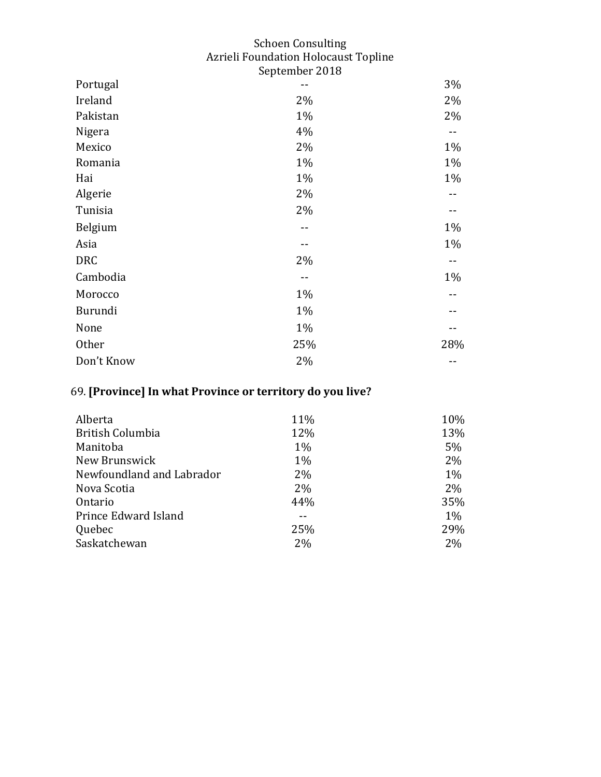| Portugal   |     | 3%  |
|------------|-----|-----|
| Ireland    | 2%  | 2%  |
| Pakistan   | 1%  | 2%  |
| Nigera     | 4%  |     |
| Mexico     | 2%  | 1%  |
| Romania    | 1%  | 1%  |
| Hai        | 1%  | 1%  |
| Algerie    | 2%  |     |
| Tunisia    | 2%  |     |
| Belgium    |     | 1%  |
| Asia       |     | 1%  |
| <b>DRC</b> | 2%  |     |
| Cambodia   |     | 1%  |
| Morocco    | 1%  |     |
| Burundi    | 1%  |     |
| None       | 1%  |     |
| Other      | 25% | 28% |
| Don't Know | 2%  |     |

# 69. **[Province]** In what Province or territory do you live?

| Alberta                   | 11%   | 10% |
|---------------------------|-------|-----|
| <b>British Columbia</b>   | 12%   | 13% |
| Manitoba                  | $1\%$ | 5%  |
| New Brunswick             | $1\%$ | 2%  |
| Newfoundland and Labrador | 2%    | 1%  |
| Nova Scotia               | 2%    | 2%  |
| Ontario                   | 44%   | 35% |
| Prince Edward Island      |       | 1%  |
| Quebec                    | 25%   | 29% |
| Saskatchewan              | 2%    | 2%  |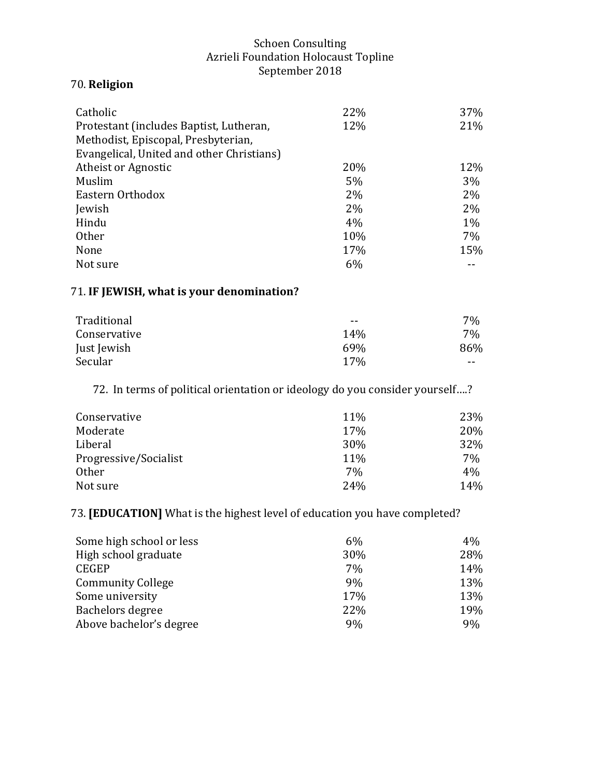## 70. **Religion**

| Catholic                                  | 22% | 37%   |
|-------------------------------------------|-----|-------|
| Protestant (includes Baptist, Lutheran,   | 12% | 21%   |
| Methodist, Episcopal, Presbyterian,       |     |       |
| Evangelical, United and other Christians) |     |       |
| Atheist or Agnostic                       | 20% | 12%   |
| Muslim                                    | 5%  | 3%    |
| Eastern Orthodox                          | 2%  | 2%    |
| Jewish                                    | 2%  | 2%    |
| Hindu                                     | 4%  | $1\%$ |
| Other                                     | 10% | $7\%$ |
| None                                      | 17% | 15%   |
| Not sure                                  | 6%  |       |

### 71. **IF JEWISH, what is your denomination?**

| Traditional  | $- -$           | 7%    |
|--------------|-----------------|-------|
| Conservative | 14 <sub>%</sub> | 7%    |
| Just Jewish  | 69%             | 86%   |
| Secular      | 17%             | $- -$ |

72. In terms of political orientation or ideology do you consider yourself....?

| Conservative          | 11% | 23% |
|-----------------------|-----|-----|
| Moderate              | 17% | 20% |
| Liberal               | 30% | 32% |
| Progressive/Socialist | 11% | 7%  |
| Other                 | 7%  | 4%  |
| Not sure              | 24% | 14% |

73. **[EDUCATION]** What is the highest level of education you have completed?

| Some high school or less | 6%  | 4%  |
|--------------------------|-----|-----|
| High school graduate     | 30% | 28% |
| <b>CEGEP</b>             | 7%  | 14% |
| <b>Community College</b> | 9%  | 13% |
| Some university          | 17% | 13% |
| Bachelors degree         | 22% | 19% |
| Above bachelor's degree  | 9%  | 9%  |